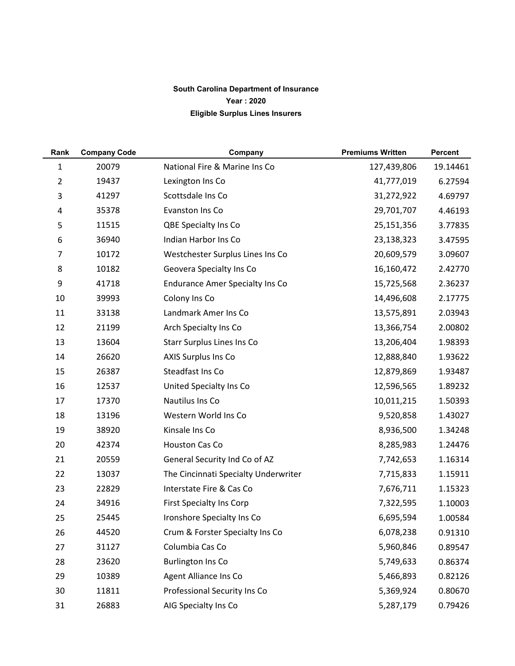## **South Carolina Department of Insurance Year : 2020 Eligible Surplus Lines Insurers**

| Rank           | <b>Company Code</b> | Company                                | <b>Premiums Written</b> | <b>Percent</b> |
|----------------|---------------------|----------------------------------------|-------------------------|----------------|
| $\mathbf 1$    | 20079               | National Fire & Marine Ins Co          | 127,439,806             | 19.14461       |
| $\overline{2}$ | 19437               | Lexington Ins Co                       | 41,777,019              | 6.27594        |
| 3              | 41297               | Scottsdale Ins Co                      | 31,272,922              | 4.69797        |
| 4              | 35378               | Evanston Ins Co                        | 29,701,707              | 4.46193        |
| 5              | 11515               | QBE Specialty Ins Co                   | 25,151,356              | 3.77835        |
| 6              | 36940               | Indian Harbor Ins Co                   | 23,138,323              | 3.47595        |
| $\overline{7}$ | 10172               | Westchester Surplus Lines Ins Co       | 20,609,579              | 3.09607        |
| 8              | 10182               | Geovera Specialty Ins Co               | 16,160,472              | 2.42770        |
| 9              | 41718               | <b>Endurance Amer Specialty Ins Co</b> | 15,725,568              | 2.36237        |
| 10             | 39993               | Colony Ins Co                          | 14,496,608              | 2.17775        |
| 11             | 33138               | Landmark Amer Ins Co                   | 13,575,891              | 2.03943        |
| 12             | 21199               | Arch Specialty Ins Co                  | 13,366,754              | 2.00802        |
| 13             | 13604               | Starr Surplus Lines Ins Co             | 13,206,404              | 1.98393        |
| 14             | 26620               | <b>AXIS Surplus Ins Co</b>             | 12,888,840              | 1.93622        |
| 15             | 26387               | Steadfast Ins Co                       | 12,879,869              | 1.93487        |
| 16             | 12537               | United Specialty Ins Co                | 12,596,565              | 1.89232        |
| 17             | 17370               | Nautilus Ins Co                        | 10,011,215              | 1.50393        |
| 18             | 13196               | Western World Ins Co                   | 9,520,858               | 1.43027        |
| 19             | 38920               | Kinsale Ins Co                         | 8,936,500               | 1.34248        |
| 20             | 42374               | Houston Cas Co                         | 8,285,983               | 1.24476        |
| 21             | 20559               | General Security Ind Co of AZ          | 7,742,653               | 1.16314        |
| 22             | 13037               | The Cincinnati Specialty Underwriter   | 7,715,833               | 1.15911        |
| 23             | 22829               | Interstate Fire & Cas Co               | 7,676,711               | 1.15323        |
| 24             | 34916               | First Specialty Ins Corp               | 7,322,595               | 1.10003        |
| 25             | 25445               | Ironshore Specialty Ins Co             | 6,695,594               | 1.00584        |
| 26             | 44520               | Crum & Forster Specialty Ins Co        | 6,078,238               | 0.91310        |
| 27             | 31127               | Columbia Cas Co                        | 5,960,846               | 0.89547        |
| 28             | 23620               | <b>Burlington Ins Co</b>               | 5,749,633               | 0.86374        |
| 29             | 10389               | Agent Alliance Ins Co                  | 5,466,893               | 0.82126        |
| 30             | 11811               | Professional Security Ins Co           | 5,369,924               | 0.80670        |
| 31             | 26883               | AIG Specialty Ins Co                   | 5,287,179               | 0.79426        |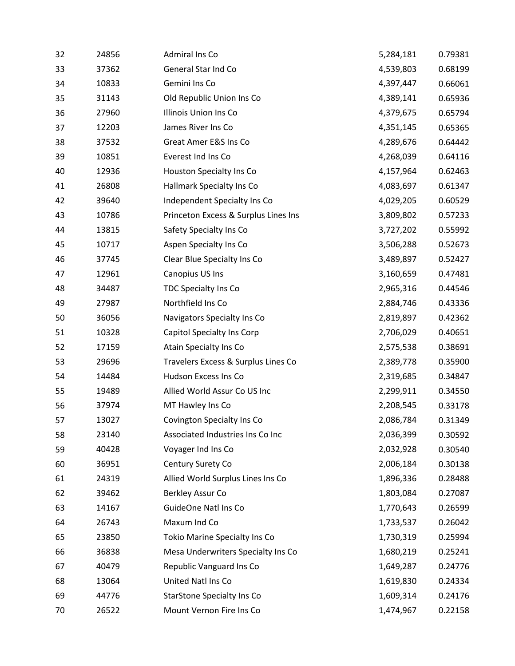| 32 | 24856 | Admiral Ins Co                       | 5,284,181 | 0.79381 |
|----|-------|--------------------------------------|-----------|---------|
| 33 | 37362 | General Star Ind Co                  | 4,539,803 | 0.68199 |
| 34 | 10833 | Gemini Ins Co                        | 4,397,447 | 0.66061 |
| 35 | 31143 | Old Republic Union Ins Co            | 4,389,141 | 0.65936 |
| 36 | 27960 | Illinois Union Ins Co                | 4,379,675 | 0.65794 |
| 37 | 12203 | James River Ins Co                   | 4,351,145 | 0.65365 |
| 38 | 37532 | Great Amer E&S Ins Co                | 4,289,676 | 0.64442 |
| 39 | 10851 | Everest Ind Ins Co                   | 4,268,039 | 0.64116 |
| 40 | 12936 | Houston Specialty Ins Co             | 4,157,964 | 0.62463 |
| 41 | 26808 | Hallmark Specialty Ins Co            | 4,083,697 | 0.61347 |
| 42 | 39640 | Independent Specialty Ins Co         | 4,029,205 | 0.60529 |
| 43 | 10786 | Princeton Excess & Surplus Lines Ins | 3,809,802 | 0.57233 |
| 44 | 13815 | Safety Specialty Ins Co              | 3,727,202 | 0.55992 |
| 45 | 10717 | Aspen Specialty Ins Co               | 3,506,288 | 0.52673 |
| 46 | 37745 | Clear Blue Specialty Ins Co          | 3,489,897 | 0.52427 |
| 47 | 12961 | Canopius US Ins                      | 3,160,659 | 0.47481 |
| 48 | 34487 | TDC Specialty Ins Co                 | 2,965,316 | 0.44546 |
| 49 | 27987 | Northfield Ins Co                    | 2,884,746 | 0.43336 |
| 50 | 36056 | Navigators Specialty Ins Co          | 2,819,897 | 0.42362 |
| 51 | 10328 | Capitol Specialty Ins Corp           | 2,706,029 | 0.40651 |
| 52 | 17159 | Atain Specialty Ins Co               | 2,575,538 | 0.38691 |
| 53 | 29696 | Travelers Excess & Surplus Lines Co  | 2,389,778 | 0.35900 |
| 54 | 14484 | Hudson Excess Ins Co                 | 2,319,685 | 0.34847 |
| 55 | 19489 | Allied World Assur Co US Inc         | 2,299,911 | 0.34550 |
| 56 | 37974 | MT Hawley Ins Co                     | 2,208,545 | 0.33178 |
| 57 | 13027 | Covington Specialty Ins Co           | 2,086,784 | 0.31349 |
| 58 | 23140 | Associated Industries Ins Co Inc     | 2,036,399 | 0.30592 |
| 59 | 40428 | Voyager Ind Ins Co                   | 2,032,928 | 0.30540 |
| 60 | 36951 | Century Surety Co                    | 2,006,184 | 0.30138 |
| 61 | 24319 | Allied World Surplus Lines Ins Co    | 1,896,336 | 0.28488 |
| 62 | 39462 | Berkley Assur Co                     | 1,803,084 | 0.27087 |
| 63 | 14167 | GuideOne Natl Ins Co                 | 1,770,643 | 0.26599 |
| 64 | 26743 | Maxum Ind Co                         | 1,733,537 | 0.26042 |
| 65 | 23850 | Tokio Marine Specialty Ins Co        | 1,730,319 | 0.25994 |
| 66 | 36838 | Mesa Underwriters Specialty Ins Co   | 1,680,219 | 0.25241 |
| 67 | 40479 | Republic Vanguard Ins Co             | 1,649,287 | 0.24776 |
| 68 | 13064 | United Natl Ins Co                   | 1,619,830 | 0.24334 |
| 69 | 44776 | <b>StarStone Specialty Ins Co</b>    | 1,609,314 | 0.24176 |
| 70 | 26522 | Mount Vernon Fire Ins Co             | 1,474,967 | 0.22158 |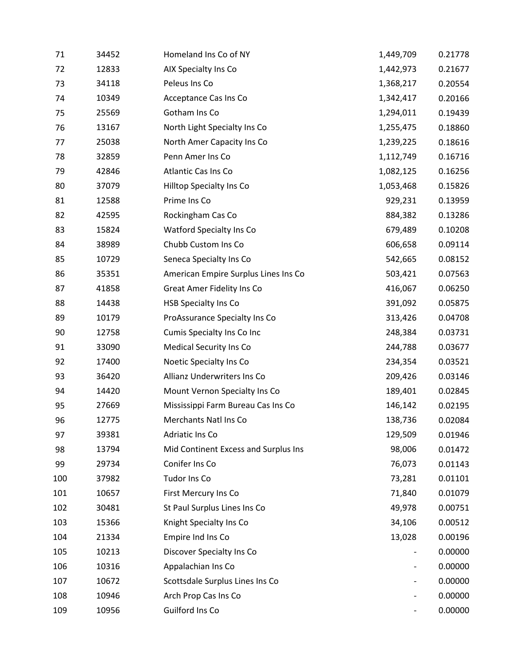| 71  | 34452 | Homeland Ins Co of NY                | 1,449,709 | 0.21778 |
|-----|-------|--------------------------------------|-----------|---------|
| 72  | 12833 | AIX Specialty Ins Co                 | 1,442,973 | 0.21677 |
| 73  | 34118 | Peleus Ins Co                        | 1,368,217 | 0.20554 |
| 74  | 10349 | Acceptance Cas Ins Co                | 1,342,417 | 0.20166 |
| 75  | 25569 | Gotham Ins Co                        | 1,294,011 | 0.19439 |
| 76  | 13167 | North Light Specialty Ins Co         | 1,255,475 | 0.18860 |
| 77  | 25038 | North Amer Capacity Ins Co           | 1,239,225 | 0.18616 |
| 78  | 32859 | Penn Amer Ins Co                     | 1,112,749 | 0.16716 |
| 79  | 42846 | Atlantic Cas Ins Co                  | 1,082,125 | 0.16256 |
| 80  | 37079 | Hilltop Specialty Ins Co             | 1,053,468 | 0.15826 |
| 81  | 12588 | Prime Ins Co                         | 929,231   | 0.13959 |
| 82  | 42595 | Rockingham Cas Co                    | 884,382   | 0.13286 |
| 83  | 15824 | Watford Specialty Ins Co             | 679,489   | 0.10208 |
| 84  | 38989 | Chubb Custom Ins Co                  | 606,658   | 0.09114 |
| 85  | 10729 | Seneca Specialty Ins Co              | 542,665   | 0.08152 |
| 86  | 35351 | American Empire Surplus Lines Ins Co | 503,421   | 0.07563 |
| 87  | 41858 | <b>Great Amer Fidelity Ins Co</b>    | 416,067   | 0.06250 |
| 88  | 14438 | <b>HSB Specialty Ins Co</b>          | 391,092   | 0.05875 |
| 89  | 10179 | ProAssurance Specialty Ins Co        | 313,426   | 0.04708 |
| 90  | 12758 | Cumis Specialty Ins Co Inc           | 248,384   | 0.03731 |
| 91  | 33090 | <b>Medical Security Ins Co</b>       | 244,788   | 0.03677 |
| 92  | 17400 | Noetic Specialty Ins Co              | 234,354   | 0.03521 |
| 93  | 36420 | Allianz Underwriters Ins Co          | 209,426   | 0.03146 |
| 94  | 14420 | Mount Vernon Specialty Ins Co        | 189,401   | 0.02845 |
| 95  | 27669 | Mississippi Farm Bureau Cas Ins Co   | 146,142   | 0.02195 |
| 96  | 12775 | Merchants Natl Ins Co                | 138,736   | 0.02084 |
| 97  | 39381 | Adriatic Ins Co                      | 129,509   | 0.01946 |
| 98  | 13794 | Mid Continent Excess and Surplus Ins | 98,006    | 0.01472 |
| 99  | 29734 | Conifer Ins Co                       | 76,073    | 0.01143 |
| 100 | 37982 | Tudor Ins Co                         | 73,281    | 0.01101 |
| 101 | 10657 | First Mercury Ins Co                 | 71,840    | 0.01079 |
| 102 | 30481 | St Paul Surplus Lines Ins Co         | 49,978    | 0.00751 |
| 103 | 15366 | Knight Specialty Ins Co              | 34,106    | 0.00512 |
| 104 | 21334 | Empire Ind Ins Co                    | 13,028    | 0.00196 |
| 105 | 10213 | Discover Specialty Ins Co            |           | 0.00000 |
| 106 | 10316 | Appalachian Ins Co                   | -         | 0.00000 |
| 107 | 10672 | Scottsdale Surplus Lines Ins Co      |           | 0.00000 |
| 108 | 10946 | Arch Prop Cas Ins Co                 | -         | 0.00000 |
| 109 | 10956 | Guilford Ins Co                      |           | 0.00000 |
|     |       |                                      |           |         |